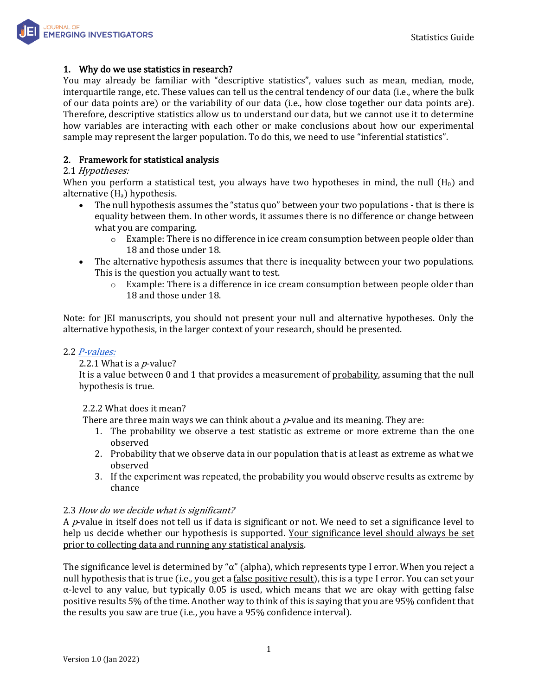

# 1. Why do we use statistics in research?

You may already be familiar with "descriptive statistics", values such as mean, median, mode, interquartile range, etc. These values can tell us the central tendency of our data (i.e., where the bulk of our data points are) or the variability of our data (i.e., how close together our data points are). Therefore, descriptive statistics allow us to understand our data, but we cannot use it to determine how variables are interacting with each other or make conclusions about how our experimental sample may represent the larger population. To do this, we need to use "inferential statistics".

# 2. Framework for statistical analysis

## 2.1 Hypotheses:

When you perform a statistical test, you always have two hypotheses in mind, the null  $(H_0)$  and alternative  $(H_a)$  hypothesis.

- The null hypothesis assumes the "status quo" between your two populations that is there is equality between them. In other words, it assumes there is no difference or change between what you are comparing.
	- $\circ$  Example: There is no difference in ice cream consumption between people older than 18 and those under 18.
- The alternative hypothesis assumes that there is inequality between your two populations. This is the question you actually want to test.
	- $\circ$  Example: There is a difference in ice cream consumption between people older than 18 and those under 18.

Note: for JEI manuscripts, you should not present your null and alternative hypotheses. Only the alternative hypothesis, in the larger context of your research, should be presented.

## 2.2 *[P-values:](https://www.graphpad.com/guides/prism/latest/statistics/p_values_and_statistical_hypothesis_testing.htm)*

## 2.2.1 What is a  $p$ -value?

It is a value between 0 and 1 that provides a measurement of probability, assuming that the null hypothesis is true.

## 2.2.2 What does it mean?

There are three main ways we can think about a  $p$ -value and its meaning. They are:

- 1. The probability we observe a test statistic as extreme or more extreme than the one observed
- 2. Probability that we observe data in our population that is at least as extreme as what we observed
- 3. If the experiment was repeated, the probability you would observe results as extreme by chance

## 2.3 How do we decide what is significant?

A  $p$ -value in itself does not tell us if data is significant or not. We need to set a significance level to help us decide whether our hypothesis is supported. Your significance level should always be set prior to collecting data and running any statistical analysis.

The significance level is determined by " $\alpha$ " (alpha), which represents type I error. When you reject a null hypothesis that is true (i.e., you get a false positive result), this is a type I error. You can set your  $\alpha$ -level to any value, but typically 0.05 is used, which means that we are okay with getting false positive results 5% of the time. Another way to think of this is saying that you are 95% confident that the results you saw are true (i.e., you have a 95% confidence interval).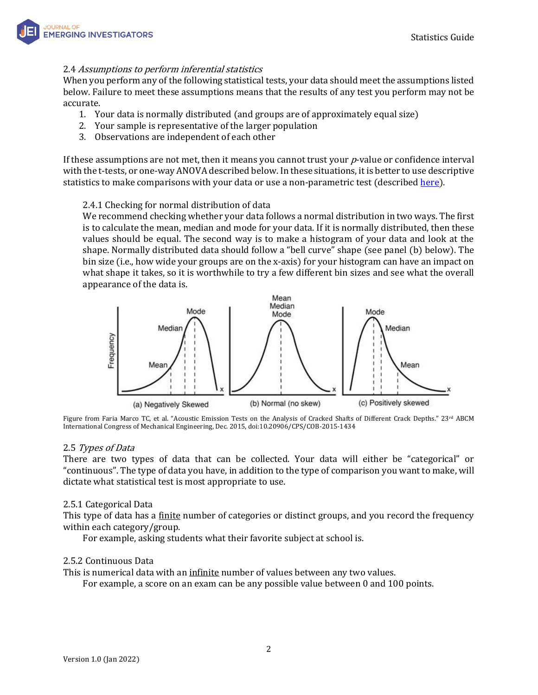# 2.4 Assumptions to perform inferential statistics

When you perform any of the following statistical tests, your data should meet the assumptions listed below. Failure to meet these assumptions means that the results of any test you perform may not be accurate.

- 1. Your data is normally distributed (and groups are of approximately equal size)
- 2. Your sample is representative of the larger population
- 3. Observations are independent of each other

If these assumptions are not met, then it means you cannot trust your  $p$ -value or confidence interval with the t-tests, or one-way ANOVA described below. In these situations, it is better to use descriptive statistics to make comparisons with your data or use a non-parametric test (describe[d here\)](https://sphweb.bumc.bu.edu/otlt/mph-modules/bs/bs704_nonparametric/bs704_nonparametric_print.html).

# 2.4.1 Checking for normal distribution of data

We recommend checking whether your data follows a normal distribution in two ways. The first is to calculate the mean, median and mode for your data. If it is normally distributed, then these values should be equal. The second way is to make a histogram of your data and look at the shape. Normally distributed data should follow a "bell curve" shape (see panel (b) below). The bin size (i.e., how wide your groups are on the x-axis) for your histogram can have an impact on what shape it takes, so it is worthwhile to try a few different bin sizes and see what the overall appearance of the data is.



Figure from Faria Marco TC, et al. "Acoustic Emission Tests on the Analysis of Cracked Shafts of Different Crack Depths." 23rd ABCM International Congress of Mechanical Engineering, Dec. 2015, doi:10.20906/CPS/COB-2015-1434

## 2.5 Types of Data

There are two types of data that can be collected. Your data will either be "categorical" or "continuous". The type of data you have, in addition to the type of comparison you want to make, will dictate what statistical test is most appropriate to use.

## 2.5.1 Categorical Data

This type of data has a finite number of categories or distinct groups, and you record the frequency within each category/group.

For example, asking students what their favorite subject at school is.

## 2.5.2 Continuous Data

This is numerical data with an *infinite* number of values between any two values.

For example, a score on an exam can be any possible value between 0 and 100 points.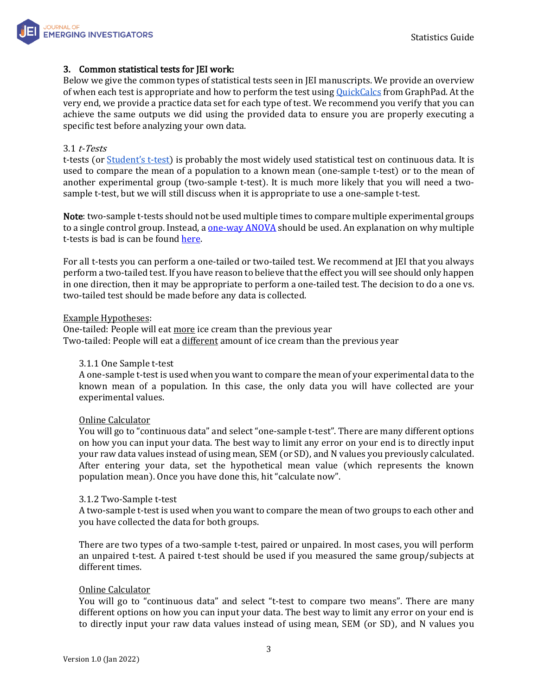

## 3. Common statistical tests for JEI work:

Below we give the common types of statistical tests seen in JEI manuscripts. We provide an overview of when each test is appropriate and how to perform the test using **OuickCalcs** from GraphPad. At the very end, we provide a practice data set for each type of test. We recommend you verify that you can achieve the same outputs we did using the provided data to ensure you are properly executing a specific test before analyzing your own data.

#### 3.1 t-Tests

t-tests (or **S[tudent's t](https://www.britannica.com/science/Students-t-test)-test)** is probably the most widely used statistical test on continuous data. It is used to compare the mean of a population to a known mean (one-sample t-test) or to the mean of another experimental group (two-sample t-test). It is much more likely that you will need a twosample t-test, but we will still discuss when it is appropriate to use a one-sample t-test.

Note: two-sample t-tests should not be used multiple times to compare multiple experimental groups to a single control group. Instead, a <u>one-way ANOVA</u> should be used. An explanation on why multiple t-tests is bad is can be found [here.](#page-4-0)

For all t-tests you can perform a one-tailed or two-tailed test. We recommend at JEI that you always perform a two-tailed test. If you have reason to believe that the effect you will see should only happen in one direction, then it may be appropriate to perform a one-tailed test. The decision to do a one vs. two-tailed test should be made before any data is collected.

#### Example Hypotheses:

One-tailed: People will eat more ice cream than the previous year Two-tailed: People will eat a *different* amount of ice cream than the previous year

#### 3.1.1 One Sample t-test

A one-sample t-test is used when you want to compare the mean of your experimental data to the known mean of a population. In this case, the only data you will have collected are your experimental values.

#### Online Calculator

You will go to "continuous data" and select "one-sample t-test". There are many different options on how you can input your data. The best way to limit any error on your end is to directly input your raw data values instead of using mean, SEM (or SD), and N values you previously calculated. After entering your data, set the hypothetical mean value (which represents the known population mean). Once you have done this, hit "calculate now".

#### 3.1.2 Two-Sample t-test

A two-sample t-test is used when you want to compare the mean of two groups to each other and you have collected the data for both groups.

There are two types of a two-sample t-test, paired or unpaired. In most cases, you will perform an unpaired t-test. A paired t-test should be used if you measured the same group/subjects at different times.

#### Online Calculator

You will go to "continuous data" and select "t-test to compare two means". There are many different options on how you can input your data. The best way to limit any error on your end is to directly input your raw data values instead of using mean, SEM (or SD), and N values you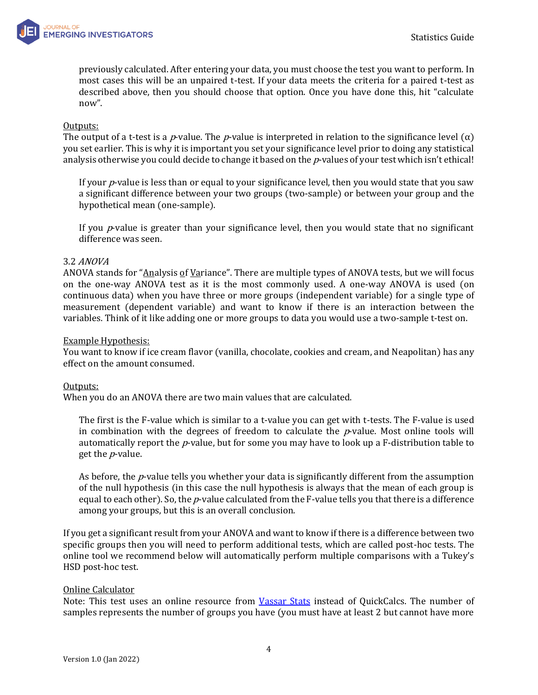

previously calculated. After entering your data, you must choose the test you want to perform. In most cases this will be an unpaired t-test. If your data meets the criteria for a paired t-test as described above, then you should choose that option. Once you have done this, hit "calculate now".

#### Outputs:

The output of a t-test is a *p*-value. The *p*-value is interpreted in relation to the significance level ( $\alpha$ ) you set earlier. This is why it is important you set your significance level prior to doing any statistical analysis otherwise you could decide to change it based on the  $p$ -values of your test which isn't ethical!

If your  $p$ -value is less than or equal to your significance level, then you would state that you saw a significant difference between your two groups (two-sample) or between your group and the hypothetical mean (one-sample).

If you  $p$ -value is greater than your significance level, then you would state that no significant difference was seen.

#### <span id="page-3-0"></span>3.2 ANOVA

ANOVA stands for "Analysis of Variance". There are multiple types of ANOVA tests, but we will focus on the one-way ANOVA test as it is the most commonly used. A one-way ANOVA is used (on continuous data) when you have three or more groups (independent variable) for a single type of measurement (dependent variable) and want to know if there is an interaction between the variables. Think of it like adding one or more groups to data you would use a two-sample t-test on.

#### Example Hypothesis:

You want to know if ice cream flavor (vanilla, chocolate, cookies and cream, and Neapolitan) has any effect on the amount consumed.

## Outputs:

When you do an ANOVA there are two main values that are calculated.

The first is the F-value which is similar to a t-value you can get with t-tests. The F-value is used in combination with the degrees of freedom to calculate the  $p$ -value. Most online tools will automatically report the  $p$ -value, but for some you may have to look up a F-distribution table to get the  $p$ -value.

As before, the  $p$ -value tells you whether your data is significantly different from the assumption of the null hypothesis (in this case the null hypothesis is always that the mean of each group is equal to each other). So, the *p*-value calculated from the F-value tells you that there is a difference among your groups, but this is an overall conclusion.

If you get a significant result from your ANOVA and want to know if there is a difference between two specific groups then you will need to perform additional tests, which are called post-hoc tests. The online tool we recommend below will automatically perform multiple comparisons with a Tukey's HSD post-hoc test.

#### Online Calculator

Note: This test uses an online resource from [Vassar Stats](http://vassarstats.net/anova1u.html) instead of QuickCalcs. The number of samples represents the number of groups you have (you must have at least 2 but cannot have more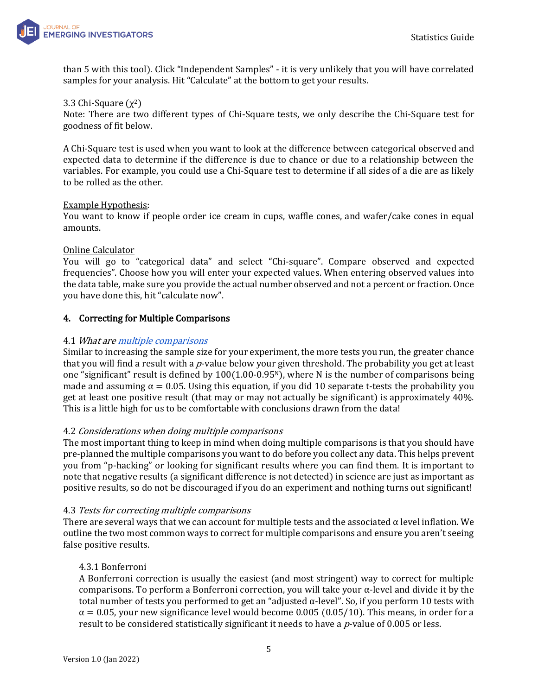

than 5 with this tool). Click "Independent Samples" - it is very unlikely that you will have correlated samples for your analysis. Hit "Calculate" at the bottom to get your results.

## 3.3 Chi-Square  $(\chi^2)$

Note: There are two different types of Chi-Square tests, we only describe the Chi-Square test for goodness of fit below.

A Chi-Square test is used when you want to look at the difference between categorical observed and expected data to determine if the difference is due to chance or due to a relationship between the variables. For example, you could use a Chi-Square test to determine if all sides of a die are as likely to be rolled as the other.

#### Example Hypothesis:

You want to know if people order ice cream in cups, waffle cones, and wafer/cake cones in equal amounts.

#### Online Calculator

You will go to "categorical data" and select "Chi-square". Compare observed and expected frequencies". Choose how you will enter your expected values. When entering observed values into the data table, make sure you provide the actual number observed and not a percent or fraction. Once you have done this, hit "calculate now".

## <span id="page-4-0"></span>4. Correcting for Multiple Comparisons

#### 4.1 What ar[e multiple comparisons](https://www.graphpad.com/guides/prism/latest/statistics/beware_of_multiple_comparisons.htm)

Similar to increasing the sample size for your experiment, the more tests you run, the greater chance that you will find a result with a p-value below your given threshold. The probability you get at least one "significant" result is defined by  $100(1.00-0.95)$ , where N is the number of comparisons being made and assuming  $\alpha = 0.05$ . Using this equation, if you did 10 separate t-tests the probability you get at least one positive result (that may or may not actually be significant) is approximately 40%. This is a little high for us to be comfortable with conclusions drawn from the data!

## 4.2 Considerations when doing multiple comparisons

The most important thing to keep in mind when doing multiple comparisons is that you should have pre-planned the multiple comparisons you want to do before you collect any data. This helps prevent you from "p-hacking" or looking for significant results where you can find them. It is important to note that negative results (a significant difference is not detected) in science are just as important as positive results, so do not be discouraged if you do an experiment and nothing turns out significant!

#### 4.3 Tests for correcting multiple comparisons

There are several ways that we can account for multiple tests and the associated  $\alpha$  level inflation. We outline the two most common ways to correct for multiple comparisons and ensure you aren't seeing false positive results.

## 4.3.1 Bonferroni

A Bonferroni correction is usually the easiest (and most stringent) way to correct for multiple comparisons. To perform a Bonferroni correction, you will take your α-level and divide it by the total number of tests you performed to get an "adjusted α-level". So, if you perform 10 tests with  $\alpha$  = 0.05, your new significance level would become 0.005 (0.05/10). This means, in order for a result to be considered statistically significant it needs to have a  $p$ -value of 0.005 or less.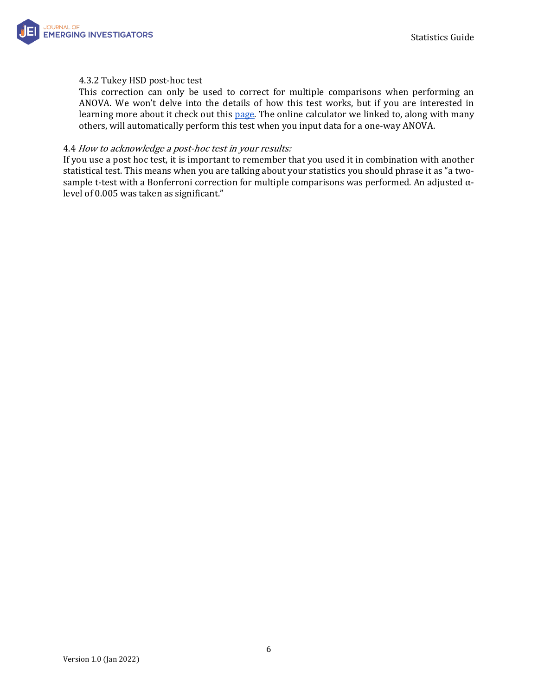

## 4.3.2 Tukey HSD post-hoc test

This correction can only be used to correct for multiple comparisons when performing an ANOVA. We won't delve into the details of how this test works, but if you are interested in learning more about it check out this [page.](https://www.graphpad.com/guides/prism/latest/statistics/stat_the_methods_of_tukey_and_dunne.htm) The online calculator we linked to, along with many others, will automatically perform this test when you input data for a one-way ANOVA.

#### 4.4 How to acknowledge a post-hoc test in your results:

If you use a post hoc test, it is important to remember that you used it in combination with another statistical test. This means when you are talking about your statistics you should phrase it as "a twosample t-test with a Bonferroni correction for multiple comparisons was performed. An adjusted αlevel of 0.005 was taken as significant."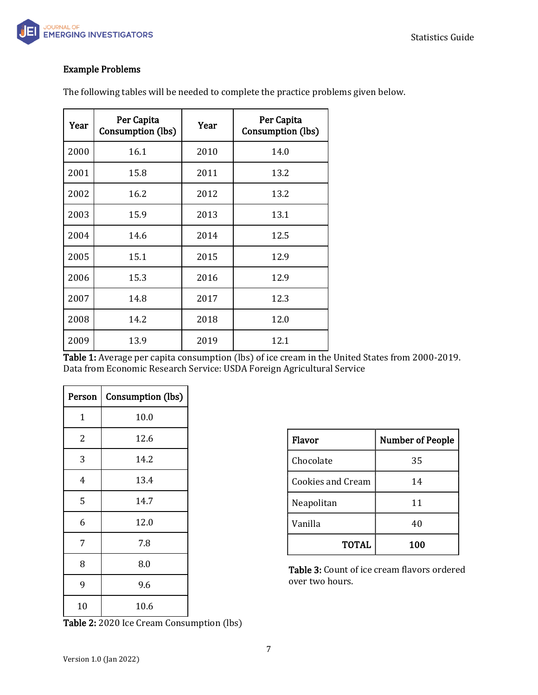

# Example Problems

The following tables will be needed to complete the practice problems given below.

| Year | Per Capita<br>Consumption (lbs) | Year | Per Capita<br>Consumption (lbs) |
|------|---------------------------------|------|---------------------------------|
| 2000 | 16.1                            | 2010 | 14.0                            |
| 2001 | 15.8                            | 2011 | 13.2                            |
| 2002 | 16.2                            | 2012 | 13.2                            |
| 2003 | 15.9                            | 2013 | 13.1                            |
| 2004 | 14.6                            | 2014 | 12.5                            |
| 2005 | 15.1                            | 2015 | 12.9                            |
| 2006 | 15.3                            | 2016 | 12.9                            |
| 2007 | 14.8                            | 2017 | 12.3                            |
| 2008 | 14.2                            | 2018 | 12.0                            |
| 2009 | 13.9                            | 2019 | 12.1                            |

Table 1: Average per capita consumption (lbs) of ice cream in the United States from 2000-2019. Data from Economic Research Service: USDA Foreign Agricultural Service

| Person | <b>Consumption (lbs)</b> |  |
|--------|--------------------------|--|
| 1      | 10.0                     |  |
| 2      | 12.6                     |  |
| 3      | 14.2                     |  |
| 4      | 13.4                     |  |
| 5      | 14.7                     |  |
| 6      | 12.0                     |  |
| 7      | 7.8                      |  |
| 8      | 8.0                      |  |
| 9      | 9.6                      |  |
| 10     | 10.6                     |  |

Flavor | Number of People Chocolate 35 Cookies and Cream 14 Neapolitan | 11 Vanilla  $40$ TOTAL 100

Table 3: Count of ice cream flavors ordered over two hours.

Table 2: 2020 Ice Cream Consumption (lbs)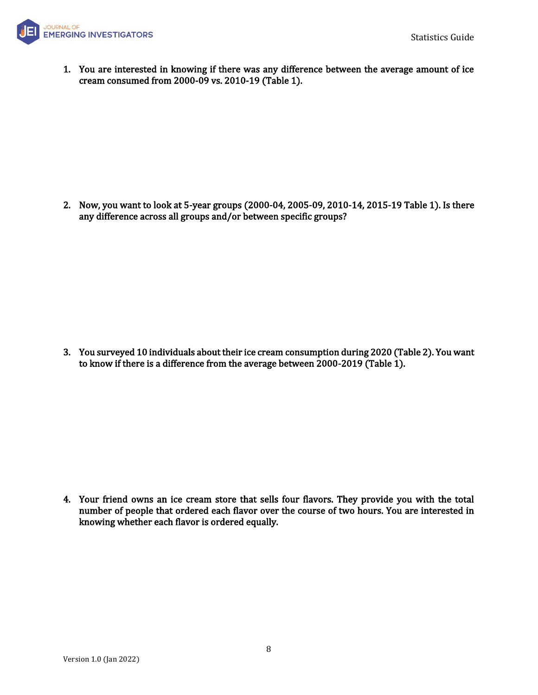

1. You are interested in knowing if there was any difference between the average amount of ice cream consumed from 2000-09 vs. 2010-19 (Table 1).

2. Now, you want to look at 5-year groups (2000-04, 2005-09, 2010-14, 2015-19 Table 1). Is there any difference across all groups and/or between specific groups?

3. You surveyed 10 individuals about their ice cream consumption during 2020 (Table 2). You want to know if there is a difference from the average between 2000-2019 (Table 1).

4. Your friend owns an ice cream store that sells four flavors. They provide you with the total number of people that ordered each flavor over the course of two hours. You are interested in knowing whether each flavor is ordered equally.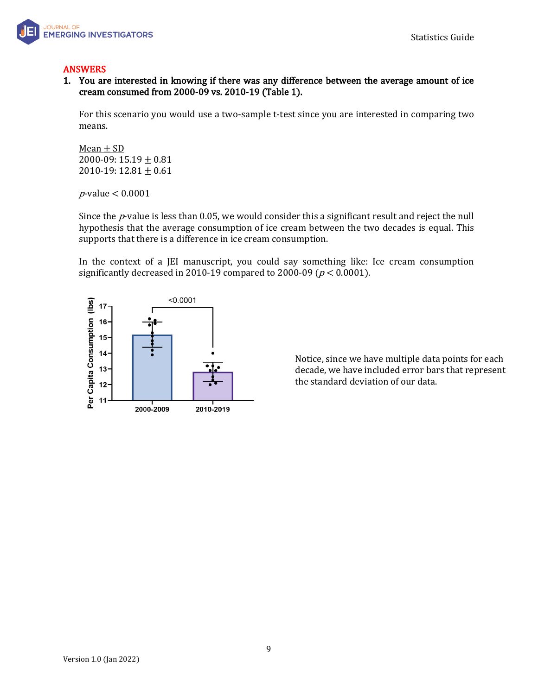

# ANSWERS

1. You are interested in knowing if there was any difference between the average amount of ice cream consumed from 2000-09 vs. 2010-19 (Table 1).

For this scenario you would use a two-sample t-test since you are interested in comparing two means.

 $Mean + SD$ 2000-09:  $15.19 \pm 0.81$ 2010-19:  $12.81 \pm 0.61$ 

<sup>p</sup>-value < 0.0001

Since the  $p$ -value is less than 0.05, we would consider this a significant result and reject the null hypothesis that the average consumption of ice cream between the two decades is equal. This supports that there is a difference in ice cream consumption.

In the context of a JEI manuscript, you could say something like: Ice cream consumption significantly decreased in 2010-19 compared to 2000-09 ( $p < 0.0001$ ).



Notice, since we have multiple data points for each decade, we have included error bars that represent the standard deviation of our data.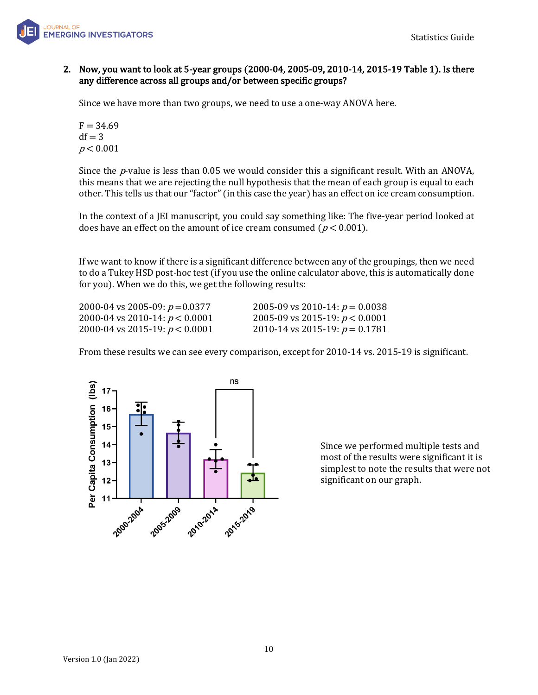

# 2. Now, you want to look at 5-year groups (2000-04, 2005-09, 2010-14, 2015-19 Table 1). Is there any difference across all groups and/or between specific groups?

Since we have more than two groups, we need to use a one-way ANOVA here.

 $F = 34.69$  $df = 3$  $p < 0.001$ 

Since the  $p$ -value is less than 0.05 we would consider this a significant result. With an ANOVA, this means that we are rejecting the null hypothesis that the mean of each group is equal to each other. This tells us that our "factor" (in this case the year) has an effect on ice cream consumption.

In the context of a JEI manuscript, you could say something like: The five-year period looked at does have an effect on the amount of ice cream consumed ( $p < 0.001$ ).

If we want to know if there is a significant difference between any of the groupings, then we need to do a Tukey HSD post-hoc test (if you use the online calculator above, this is automatically done for you). When we do this, we get the following results:

2000-04 vs 2005-09:  $p = 0.0377$  2005-09 vs 2010-14:  $p = 0.0038$ 2000-04 vs 2010-14:  $p < 0.0001$  2005-09 vs 2015-19:  $p < 0.0001$ 2000-04 vs 2015-19:  $p < 0.0001$  2010-14 vs 2015-19:  $p = 0.1781$ 

From these results we can see every comparison, except for 2010-14 vs. 2015-19 is significant.



Since we performed multiple tests and most of the results were significant it is simplest to note the results that were not significant on our graph.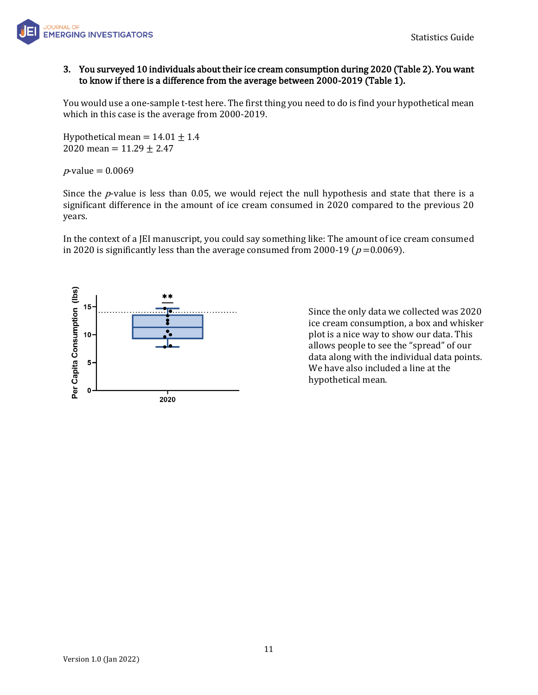

# 3. You surveyed 10 individuals about their ice cream consumption during 2020 (Table 2). You want to know if there is a difference from the average between 2000-2019 (Table 1).

You would use a one-sample t-test here. The first thing you need to do is find your hypothetical mean which in this case is the average from 2000-2019.

Hypothetical mean =  $14.01 \pm 1.4$ 2020 mean =  $11.29 \pm 2.47$ 

*p*-value =  $0.0069$ 

Since the  $p$ -value is less than 0.05, we would reject the null hypothesis and state that there is a significant difference in the amount of ice cream consumed in 2020 compared to the previous 20 years.

In the context of a JEI manuscript, you could say something like: The amount of ice cream consumed in 2020 is significantly less than the average consumed from 2000-19 ( $p = 0.0069$ ).



Since the only data we collected was 2020 ice cream consumption, a box and whisker plot is a nice way to show our data. This allows people to see the "spread" of our data along with the individual data points. We have also included a line at the hypothetical mean.